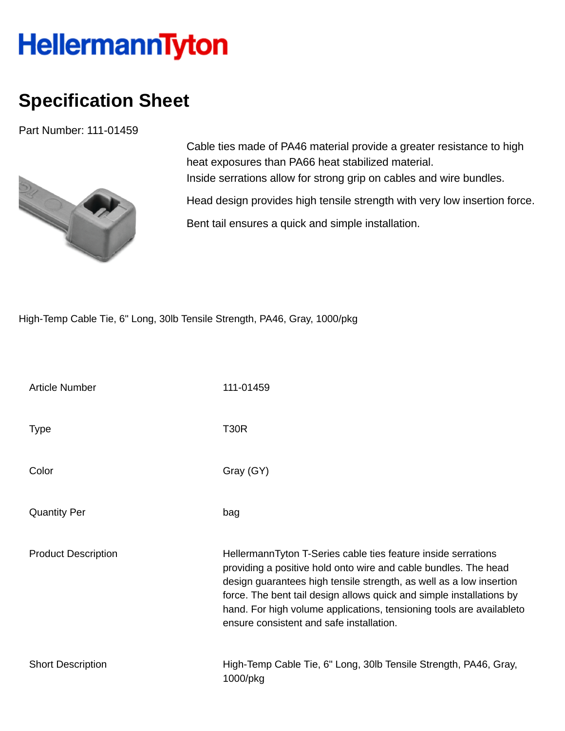## **HellermannTyton**

## **Specification Sheet**

Part Number: 111-01459



Cable ties made of PA46 material provide a greater resistance to high heat exposures than PA66 heat stabilized material. Inside serrations allow for strong grip on cables and wire bundles.

Head design provides high tensile strength with very low insertion force.

Bent tail ensures a quick and simple installation.

High-Temp Cable Tie, 6" Long, 30lb Tensile Strength, PA46, Gray, 1000/pkg

| <b>Article Number</b>      | 111-01459                                                                                                                                                                                                                                                                                                                                                                                           |
|----------------------------|-----------------------------------------------------------------------------------------------------------------------------------------------------------------------------------------------------------------------------------------------------------------------------------------------------------------------------------------------------------------------------------------------------|
| <b>Type</b>                | <b>T30R</b>                                                                                                                                                                                                                                                                                                                                                                                         |
| Color                      | Gray (GY)                                                                                                                                                                                                                                                                                                                                                                                           |
| <b>Quantity Per</b>        | bag                                                                                                                                                                                                                                                                                                                                                                                                 |
| <b>Product Description</b> | HellermannTyton T-Series cable ties feature inside serrations<br>providing a positive hold onto wire and cable bundles. The head<br>design guarantees high tensile strength, as well as a low insertion<br>force. The bent tail design allows quick and simple installations by<br>hand. For high volume applications, tensioning tools are availableto<br>ensure consistent and safe installation. |
| <b>Short Description</b>   | High-Temp Cable Tie, 6" Long, 30lb Tensile Strength, PA46, Gray,<br>1000/pkg                                                                                                                                                                                                                                                                                                                        |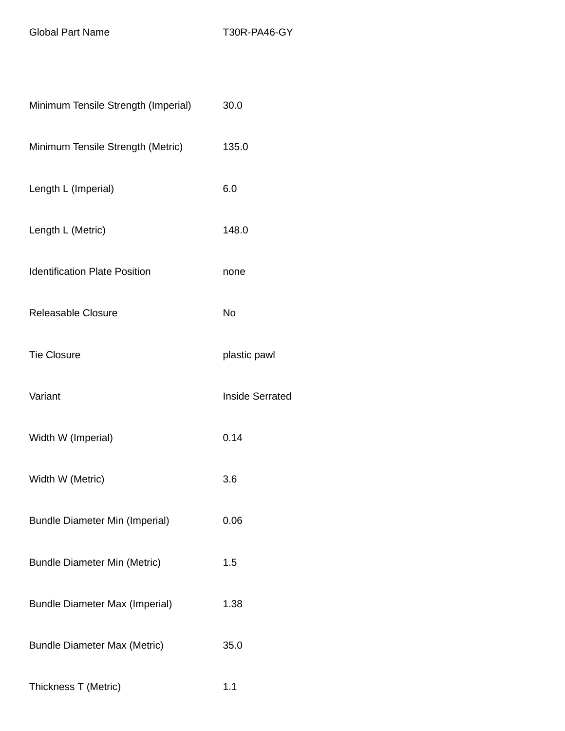Global Part Name T30R-PA46-GY

| Minimum Tensile Strength (Imperial)   | 30.0                   |
|---------------------------------------|------------------------|
| Minimum Tensile Strength (Metric)     | 135.0                  |
| Length L (Imperial)                   | 6.0                    |
| Length L (Metric)                     | 148.0                  |
| <b>Identification Plate Position</b>  | none                   |
| Releasable Closure                    | No                     |
| <b>Tie Closure</b>                    | plastic pawl           |
| Variant                               | <b>Inside Serrated</b> |
| Width W (Imperial)                    | 0.14                   |
| Width W (Metric)                      | 3.6                    |
| <b>Bundle Diameter Min (Imperial)</b> | 0.06                   |
| <b>Bundle Diameter Min (Metric)</b>   | 1.5                    |
| <b>Bundle Diameter Max (Imperial)</b> | 1.38                   |
| <b>Bundle Diameter Max (Metric)</b>   | 35.0                   |
| Thickness T (Metric)                  | 1.1                    |